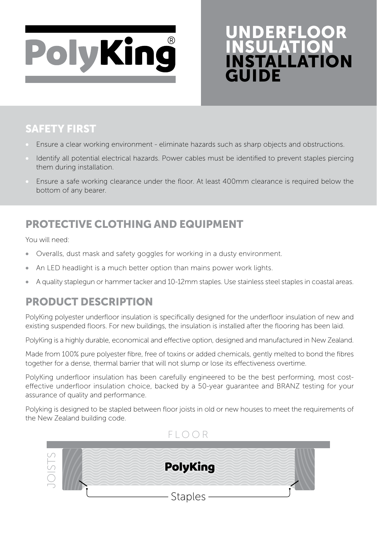

# UNDERFLOOR INSULATION INSTALLATION GUIDE

### SAFETY FIRST

- Ensure a clear working environment eliminate hazards such as sharp objects and obstructions.
- Identify all potential electrical hazards. Power cables must be identified to prevent staples piercing them during installation.
- Ensure a safe working clearance under the floor. At least 400mm clearance is required below the bottom of any bearer.

# PROTECTIVE CLOTHING AND EQUIPMENT

You will need:

- Overalls, dust mask and safety goggles for working in a dusty environment.
- An LED headlight is a much better option than mains power work lights.
- A quality staplegun or hammer tacker and 10-12mm staples. Use stainless steel staples in coastal areas.

## PRODUCT DESCRIPTION

PolyKing polyester underfloor insulation is specifically designed for the underfloor insulation of new and existing suspended floors. For new buildings, the insulation is installed after the flooring has been laid.

PolyKing is a highly durable, economical and effective option, designed and manufactured in New Zealand.

Made from 100% pure polyester fibre, free of toxins or added chemicals, gently melted to bond the fibres together for a dense, thermal barrier that will not slump or lose its effectiveness overtime.

PolyKing underfloor insulation has been carefully engineered to be the best performing, most costeffective underfloor insulation choice, backed by a 50-year guarantee and BRANZ testing for your assurance of quality and performance.

Polyking is designed to be stapled between floor joists in old or new houses to meet the requirements of the New Zealand building code.